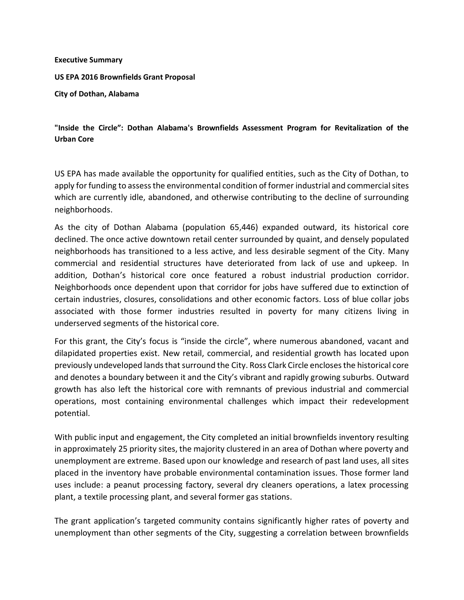## **Executive Summary**

**US EPA 2016 Brownfields Grant Proposal** 

**City of Dothan, Alabama**

## **"Inside the Circle": Dothan Alabama's Brownfields Assessment Program for Revitalization of the Urban Core**

US EPA has made available the opportunity for qualified entities, such as the City of Dothan, to apply for funding to assess the environmental condition of former industrial and commercial sites which are currently idle, abandoned, and otherwise contributing to the decline of surrounding neighborhoods.

As the city of Dothan Alabama (population 65,446) expanded outward, its historical core declined. The once active downtown retail center surrounded by quaint, and densely populated neighborhoods has transitioned to a less active, and less desirable segment of the City. Many commercial and residential structures have deteriorated from lack of use and upkeep. In addition, Dothan's historical core once featured a robust industrial production corridor. Neighborhoods once dependent upon that corridor for jobs have suffered due to extinction of certain industries, closures, consolidations and other economic factors. Loss of blue collar jobs associated with those former industries resulted in poverty for many citizens living in underserved segments of the historical core.

For this grant, the City's focus is "inside the circle", where numerous abandoned, vacant and dilapidated properties exist. New retail, commercial, and residential growth has located upon previously undeveloped lands that surround the City. Ross Clark Circle encloses the historical core and denotes a boundary between it and the City's vibrant and rapidly growing suburbs. Outward growth has also left the historical core with remnants of previous industrial and commercial operations, most containing environmental challenges which impact their redevelopment potential.

With public input and engagement, the City completed an initial brownfields inventory resulting in approximately 25 priority sites, the majority clustered in an area of Dothan where poverty and unemployment are extreme. Based upon our knowledge and research of past land uses, all sites placed in the inventory have probable environmental contamination issues. Those former land uses include: a peanut processing factory, several dry cleaners operations, a latex processing plant, a textile processing plant, and several former gas stations.

The grant application's targeted community contains significantly higher rates of poverty and unemployment than other segments of the City, suggesting a correlation between brownfields